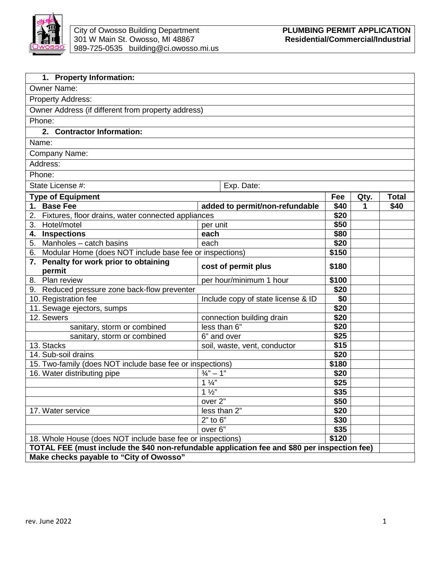

| 1. Property Information:                                                                                |                                    |               |      |              |
|---------------------------------------------------------------------------------------------------------|------------------------------------|---------------|------|--------------|
| <b>Owner Name:</b>                                                                                      |                                    |               |      |              |
| Property Address:                                                                                       |                                    |               |      |              |
| Owner Address (if different from property address)                                                      |                                    |               |      |              |
| Phone:                                                                                                  |                                    |               |      |              |
| 2. Contractor Information:                                                                              |                                    |               |      |              |
| Name:                                                                                                   |                                    |               |      |              |
| Company Name:                                                                                           |                                    |               |      |              |
| Address:                                                                                                |                                    |               |      |              |
| Phone:                                                                                                  |                                    |               |      |              |
|                                                                                                         |                                    |               |      |              |
| State License #:<br>Exp. Date:                                                                          |                                    |               |      |              |
| <b>Type of Equipment</b>                                                                                |                                    | Fee           | Qty. | <b>Total</b> |
| 1. Base Fee                                                                                             | added to permit/non-refundable     | \$40          | 1    | \$40         |
| Fixtures, floor drains, water connected appliances<br>2.                                                |                                    | \$20          |      |              |
| Hotel/motel<br>3.                                                                                       | per unit                           | \$50          |      |              |
| <b>Inspections</b><br>4.                                                                                | each                               | \$80          |      |              |
| $\overline{\text{Manholes}}$ – catch basins<br>5.                                                       | each                               | \$20<br>\$150 |      |              |
| Modular Home (does NOT include base fee or inspections)<br>6.<br>7. Penalty for work prior to obtaining |                                    |               |      |              |
| permit                                                                                                  | cost of permit plus                | \$180         |      |              |
| 8. Plan review                                                                                          | per hour/minimum 1 hour            | \$100         |      |              |
| 9. Reduced pressure zone back-flow preventer                                                            |                                    | \$20          |      |              |
| 10. Registration fee                                                                                    | Include copy of state license & ID | \$0           |      |              |
| 11. Sewage ejectors, sumps                                                                              |                                    | \$20          |      |              |
| 12. Sewers                                                                                              | connection building drain          | \$20          |      |              |
| sanitary, storm or combined                                                                             | less than 6"                       | \$20          |      |              |
| sanitary, storm or combined                                                                             | 6" and over                        | \$25          |      |              |
| 13. Stacks                                                                                              | soil, waste, vent, conductor       | \$15          |      |              |
| 14. Sub-soil drains                                                                                     |                                    | \$20          |      |              |
| 15. Two-family (does NOT include base fee or inspections)                                               |                                    | \$180         |      |              |
| 16. Water distributing pipe                                                                             | $\frac{3}{4}$ " - 1"               | \$20          |      |              |
|                                                                                                         | $1\frac{1}{4}$                     | \$25          |      |              |
|                                                                                                         | $1\frac{1}{2}$                     | \$35          |      |              |
|                                                                                                         | over 2"                            | \$50          |      |              |
| 17. Water service                                                                                       | less than 2"<br>$2"$ to $6"$       | \$20          |      |              |
|                                                                                                         | over 6"                            | \$30<br>\$35  |      |              |
| 18. Whole House (does NOT include base fee or inspections)                                              |                                    | \$120         |      |              |
| TOTAL FEE (must include the \$40 non-refundable application fee and \$80 per inspection fee)            |                                    |               |      |              |
| Make checks payable to "City of Owosso"                                                                 |                                    |               |      |              |